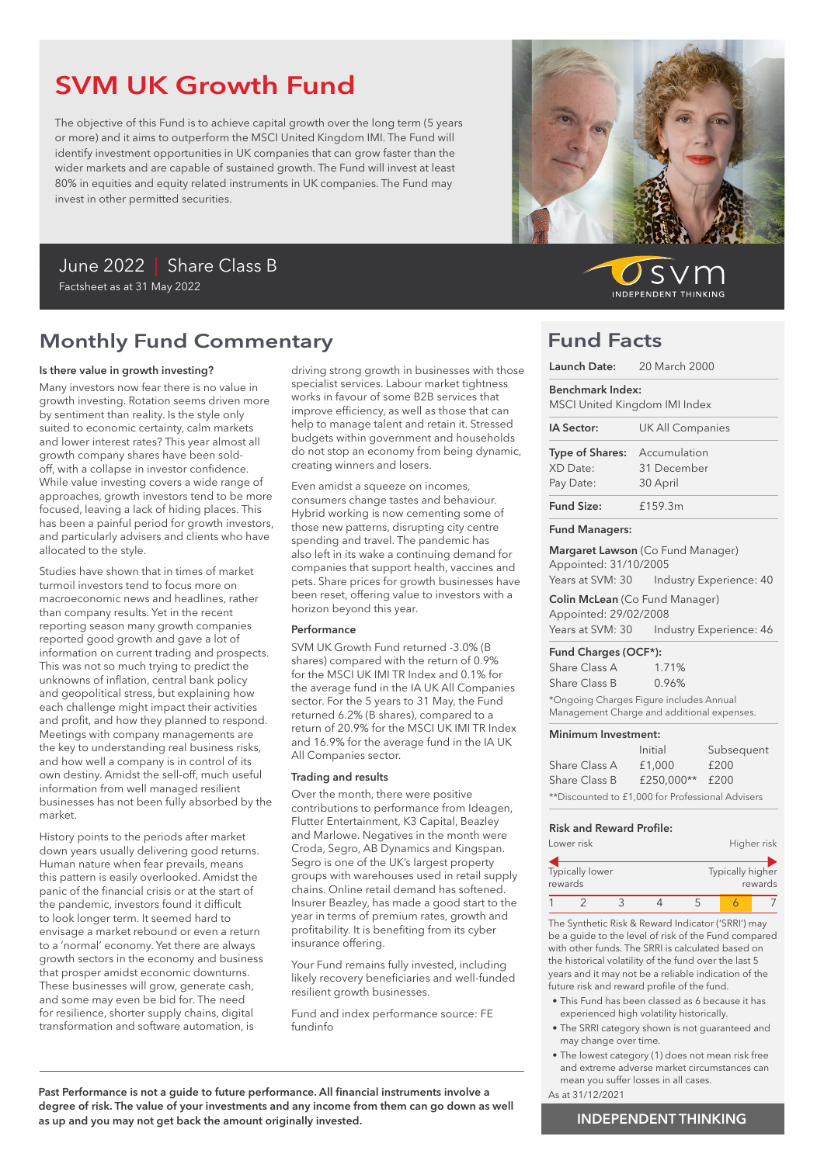# SVM UK Growth Fund

The objective of this Fund is to achieve capital growth over the long term (5 years or more) and it aims to outperform the MSCI United Kingdom IMI. The Fund will identify investment opportunities in UK companies that can grow faster than the wider markets and are capable of sustained growth. The Fund will invest at least 80% in equities and equity related instruments in UK companies. The Fund may invest in other permitted securities.

## June 2022 | Share Class B Factsheet as at 31 May 2022

# Monthly Fund Commentary

#### Is there value in growth investing?

Many investors now fear there is no value in growth investing. Rotation seems driven more by sentiment than reality. Is the style only suited to economic certainty, calm markets and lower interest rates? This year almost all growth company shares have been soldoff, with a collapse in investor confidence. While value investing covers a wide range of approaches, growth investors tend to be more focused, leaving a lack of hiding places. This has been a painful period for growth investors, and particularly advisers and clients who have allocated to the style.

Studies have shown that in times of market turmoil investors tend to focus more on macroeconomic news and headlines, rather than company results. Yet in the recent reporting season many growth companies reported good growth and gave a lot of information on current trading and prospects. This was not so much trying to predict the unknowns of inflation, central bank policy and geopolitical stress, but explaining how each challenge might impact their activities and profit, and how they planned to respond. Meetings with company managements are the key to understanding real business risks, and how well a company is in control of its own destiny. Amidst the sell-off, much useful information from well managed resilient businesses has not been fully absorbed by the market.

History points to the periods after market down years usually delivering good returns. Human nature when fear prevails, means this pattern is easily overlooked. Amidst the panic of the financial crisis or at the start of the pandemic, investors found it difficult to look longer term. It seemed hard to envisage a market rebound or even a return to a 'normal' economy. Yet there are always growth sectors in the economy and business that prosper amidst economic downturns. These businesses will grow, generate cash, and some may even be bid for. The need for resilience, shorter supply chains, digital transformation and software automation, is

driving strong growth in businesses with those specialist services. Labour market tightness works in favour of some B2B services that improve efficiency, as well as those that can help to manage talent and retain it. Stressed budgets within government and households do not stop an economy from being dynamic, creating winners and losers.

Even amidst a squeeze on incomes, consumers change tastes and behaviour. Hybrid working is now cementing some of those new patterns, disrupting city centre spending and travel. The pandemic has also left in its wake a continuing demand for companies that support health, vaccines and pets. Share prices for growth businesses have been reset, offering value to investors with a horizon beyond this year.

#### Performance

SVM UK Growth Fund returned -3.0% (B shares) compared with the return of 0.9% for the MSCI UK IMI TR Index and 0.1% for the average fund in the IA UK All Companies sector. For the 5 years to 31 May, the Fund returned 6.2% (B shares), compared to a return of 20.9% for the MSCI UK IMI TR Index and 16.9% for the average fund in the IA UK All Companies sector.

#### Trading and results

Over the month, there were positive contributions to performance from Ideagen, Flutter Entertainment, K3 Capital, Beazley and Marlowe. Negatives in the month were Croda, Segro, AB Dynamics and Kingspan. Segro is one of the UK's largest property groups with warehouses used in retail supply chains. Online retail demand has softened. Insurer Beazley, has made a good start to the year in terms of premium rates, growth and profitability. It is benefiting from its cyber insurance offering.

Your Fund remains fully invested, including likely recovery beneficiaries and well-funded resilient growth businesses.

Fund and index performance source: FE fundinfo

Past Performance is not a guide to future performance. All financial instruments involve a degree of risk. The value of your investments and any income from them can go down as well as up and you may not get back the amount originally invested.



## Fund Facts

|                                                              | Launch Date: 20 March 2000                                                              |
|--------------------------------------------------------------|-----------------------------------------------------------------------------------------|
| <b>Benchmark Index:</b><br>MSCI United Kingdom IMI Index     |                                                                                         |
| IA Sector:                                                   | <b>UK All Companies</b>                                                                 |
| <b>Type of Shares:</b> Accumulation<br>XD Date:<br>Pay Date: | 31 December<br>30 April                                                                 |
| <b>Fund Size:</b>                                            | £159.3m                                                                                 |
| <b>Fund Managers:</b>                                        |                                                                                         |
| Appointed: 31/10/2005                                        | <b>Margaret Lawson</b> (Co Fund Manager)<br>Years at SVM: 30    Industry Experience: 40 |
| Appointed: 29/02/2008                                        | <b>Colin McLean</b> (Co Fund Manager)<br>Years at SVM: 30    Industry Experience: 46    |
| Fund Charges (OCF*):<br>Share Class A                        | 1.71%                                                                                   |

\*Ongoing Charges Figure includes Annual Management Charge and additional expenses.

#### Minimum Investment:

Share Class B 0.96%

|                                                  | Initial         | Subsequent |
|--------------------------------------------------|-----------------|------------|
| Share Class A                                    | £1,000          | £200       |
| Share Class B                                    | £250,000** £200 |            |
| **Discounted to £1,000 for Professional Advisers |                 |            |

#### Risk and Reward Profile:

|         | Lower risk      |  |                  | Higher risk |
|---------|-----------------|--|------------------|-------------|
| rewards | Typically lower |  | Typically higher | rewards     |
|         |                 |  |                  |             |

The Synthetic Risk & Reward Indicator ('SRRI') may be a guide to the level of risk of the Fund compared with other funds. The SRRI is calculated based on the historical volatility of the fund over the last 5 years and it may not be a reliable indication of the future risk and reward profile of the fund.

- This Fund has been classed as 6 because it has experienced high volatility historically.
- The SRRI category shown is not guaranteed and may change over time.
- The lowest category (1) does not mean risk free and extreme adverse market circumstances can mean you suffer losses in all cases.
- As at 31/12/2021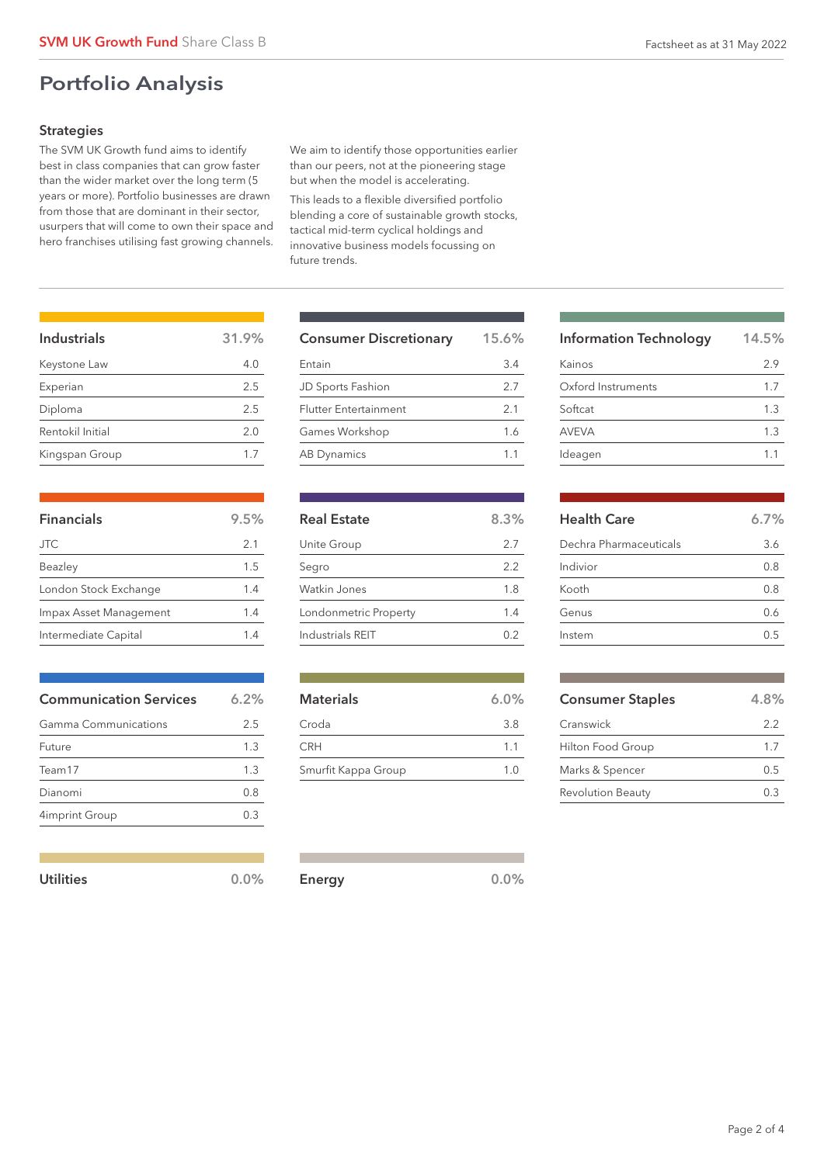# Portfolio Analysis

## **Strategies**

The SVM UK Growth fund aims to identify best in class companies that can grow faster than the wider market over the long term (5 years or more). Portfolio businesses are drawn from those that are dominant in their sector, usurpers that will come to own their space and hero franchises utilising fast growing channels. We aim to identify those opportunities earlier than our peers, not at the pioneering stage but when the model is accelerating.

This leads to a flexible diversified portfolio blending a core of sustainable growth stocks, tactical mid-term cyclical holdings and innovative business models focussing on future trends.

| Industrials      | 31.9% |
|------------------|-------|
| Keystone Law     | 4.0   |
| Experian         | 2.5   |
| Diploma          | 2.5   |
| Rentokil Initial | 2.0   |
| Kingspan Group   | 17    |

| <b>Financials</b>      | 9.5% |
|------------------------|------|
| <b>JTC</b>             | 2.1  |
| Beazley                | 1.5  |
| London Stock Exchange  | 1.4  |
| Impax Asset Management | 1.4  |
| Intermediate Capital   | 14   |

| <b>Communication Services</b> | 6.2% |  |
|-------------------------------|------|--|
| Gamma Communications          | 2.5  |  |
| Future                        | 1.3  |  |
| Team17                        | 1.3  |  |
| Dianomi                       | 0.8  |  |
| 4imprint Group                |      |  |
|                               |      |  |

| Utilities | $0.0\%$ |        | 0.0% |
|-----------|---------|--------|------|
|           |         | Energy |      |

| <b>Consumer Discretionary</b> | 15.6%          |  |
|-------------------------------|----------------|--|
| Entain                        | 3.4            |  |
| JD Sports Fashion             | 2.7            |  |
| <b>Flutter Entertainment</b>  | 2.1            |  |
| Games Workshop                | 1.6            |  |
| <b>AB Dynamics</b>            | 1 <sub>1</sub> |  |

| <b>Real Estate</b>    | 8.3% |
|-----------------------|------|
| Unite Group           | 2.7  |
| Segro                 | 2.2  |
| Watkin Jones          | 1.8  |
| Londonmetric Property | 1.4  |
| Industrials RFIT      |      |

| <b>Materials</b>    | 6.0%           |
|---------------------|----------------|
| Croda               | 3.8            |
| <b>CRH</b>          | 1 <sub>1</sub> |
| Smurfit Kappa Group | 1 N            |

| <b>Information Technology</b> | 14.5% |
|-------------------------------|-------|
| Kainos                        | 29    |
| Oxford Instruments            | 1.7   |
| Softcat                       | 1.3   |
| <b>AVEVA</b>                  | 1.3   |
| Ideagen                       | 11    |

| <b>Health Care</b>     | 6.7% |
|------------------------|------|
| Dechra Pharmaceuticals | 3.6  |
| Indivior               | 0.8  |
| Kooth                  | 0.8  |
| Genus                  | 0.6  |
| Instem                 | በ 5  |

| <b>Consumer Staples</b>  | 4.8% |
|--------------------------|------|
| Cranswick                | 22   |
| Hilton Food Group        | 17   |
| Marks & Spencer          | 0.5  |
| <b>Revolution Beauty</b> | 0.3  |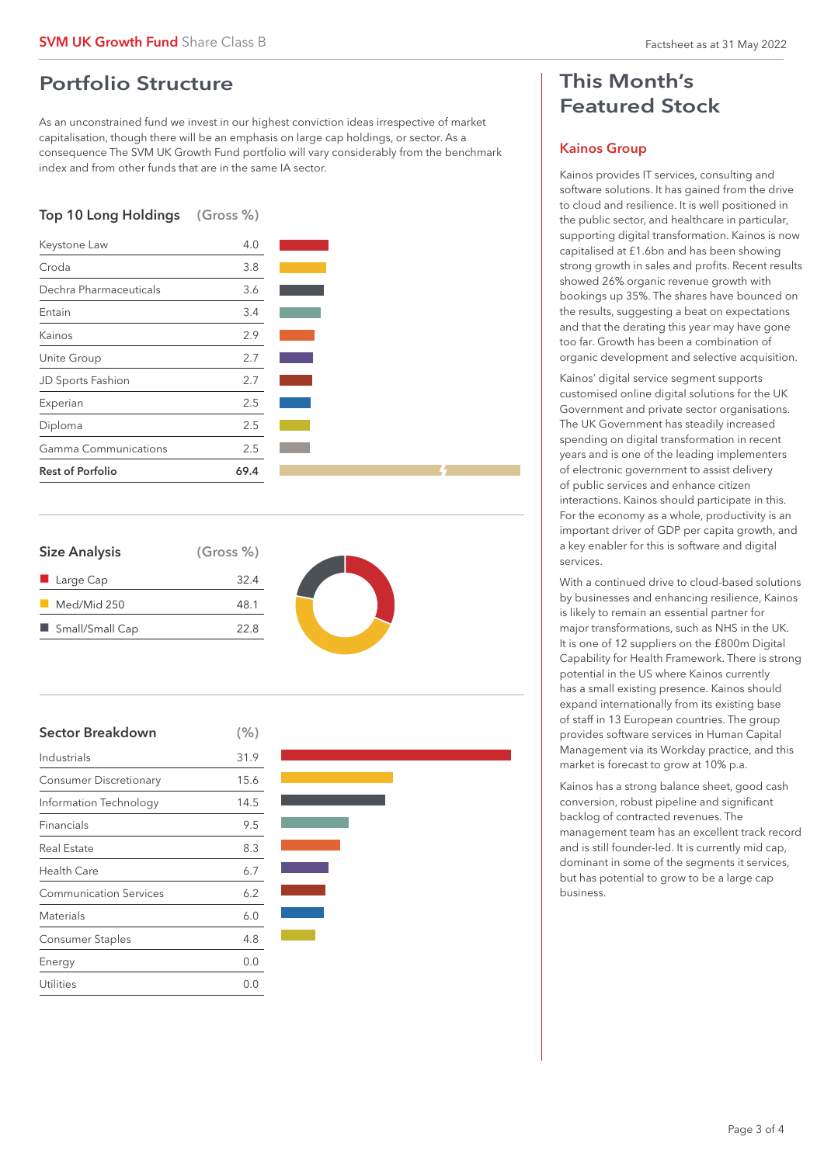## Portfolio Structure

As an unconstrained fund we invest in our highest conviction ideas irrespective of market capitalisation, though there will be an emphasis on large cap holdings, or sector. As a consequence The SVM UK Growth Fund portfolio will vary considerably from the benchmark index and from other funds that are in the same IA sector.

## Top 10 Long Holdings (Gross %)



| <b>Size Analysis</b>     | (Gross %) |
|--------------------------|-----------|
| $\blacksquare$ Large Cap | 32.4      |
| Med/Mid 250              | 48.1      |
| ■ Small/Small Cap        | 22.8      |
|                          |           |



| <b>Sector Breakdown</b>       | (% ) |  |
|-------------------------------|------|--|
| Industrials                   | 31.9 |  |
| <b>Consumer Discretionary</b> | 15.6 |  |
| Information Technology        | 14.5 |  |
| Financials                    | 9.5  |  |
| Real Estate                   | 8.3  |  |
| Health Care                   | 6.7  |  |
| <b>Communication Services</b> | 6.2  |  |
| Materials                     | 6.0  |  |
| <b>Consumer Staples</b>       | 4.8  |  |
| Energy                        | 0.0  |  |
| Utilities                     | 0.0  |  |



# This Month's Featured Stock

### Kainos Group

Kainos provides IT services, consulting and software solutions. It has gained from the drive to cloud and resilience. It is well positioned in the public sector, and healthcare in particular, supporting digital transformation. Kainos is now capitalised at £1.6bn and has been showing strong growth in sales and profits. Recent results showed 26% organic revenue growth with bookings up 35%. The shares have bounced on the results, suggesting a beat on expectations and that the derating this year may have gone too far. Growth has been a combination of organic development and selective acquisition.

Kainos' digital service segment supports customised online digital solutions for the UK Government and private sector organisations. The UK Government has steadily increased spending on digital transformation in recent years and is one of the leading implementers of electronic government to assist delivery of public services and enhance citizen interactions. Kainos should participate in this. For the economy as a whole, productivity is an important driver of GDP per capita growth, and a key enabler for this is software and digital services.

With a continued drive to cloud-based solutions by businesses and enhancing resilience, Kainos is likely to remain an essential partner for major transformations, such as NHS in the UK. It is one of 12 suppliers on the £800m Digital Capability for Health Framework. There is strong potential in the US where Kainos currently has a small existing presence. Kainos should expand internationally from its existing base of staff in 13 European countries. The group provides software services in Human Capital Management via its Workday practice, and this market is forecast to grow at 10% p.a.

Kainos has a strong balance sheet, good cash conversion, robust pipeline and significant backlog of contracted revenues. The management team has an excellent track record and is still founder-led. It is currently mid cap, dominant in some of the segments it services, but has potential to grow to be a large cap business.